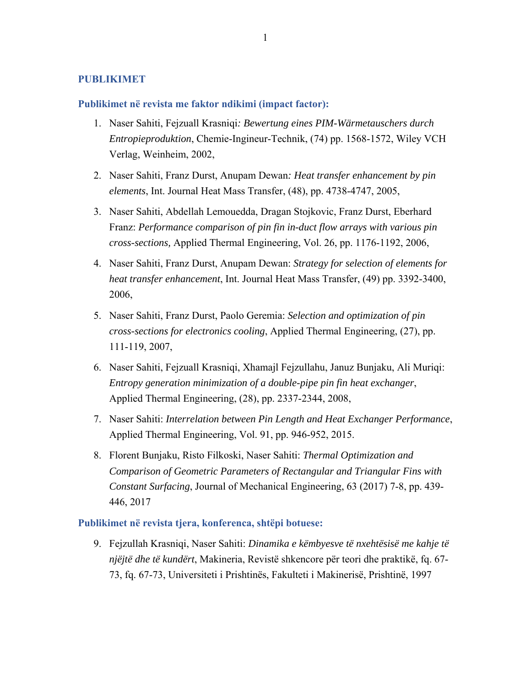# **PUBLIKIMET**

#### **Publikimet në revista me faktor ndikimi (impact factor):**

- 1. Naser Sahiti, Fejzuall Krasniqi*: Bewertung eines PIM-Wärmetauschers durch Entropieproduktion*, Chemie-Ingineur-Technik, (74) pp. 1568-1572, Wiley VCH Verlag, Weinheim, 2002,
- 2. Naser Sahiti, Franz Durst, Anupam Dewan*: Heat transfer enhancement by pin elements*, Int. Journal Heat Mass Transfer, (48), pp. 4738-4747, 2005,
- 3. Naser Sahiti, Abdellah Lemouedda, Dragan Stojkovic, Franz Durst, Eberhard Franz: *Performance comparison of pin fin in-duct flow arrays with various pin cross-sections,* Applied Thermal Engineering, Vol. 26, pp. 1176-1192, 2006,
- 4. Naser Sahiti, Franz Durst, Anupam Dewan: *Strategy for selection of elements for heat transfer enhancement*, Int. Journal Heat Mass Transfer, (49) pp. 3392-3400, 2006,
- 5. Naser Sahiti, Franz Durst, Paolo Geremia: *Selection and optimization of pin cross-sections for electronics cooling*, Applied Thermal Engineering, (27), pp. 111-119, 2007,
- 6. Naser Sahiti, Fejzuall Krasniqi, Xhamajl Fejzullahu, Januz Bunjaku, Ali Muriqi: *Entropy generation minimization of a double-pipe pin fin heat exchanger*, Applied Thermal Engineering, (28), pp. 2337-2344, 2008,
- 7. Naser Sahiti: *Interrelation between Pin Length and Heat Exchanger Performance*, Applied Thermal Engineering, Vol. 91, pp. 946-952, 2015.
- 8. Florent Bunjaku, Risto Filkoski, Naser Sahiti: *Thermal Optimization and Comparison of Geometric Parameters of Rectangular and Triangular Fins with Constant Surfacing*, Journal of Mechanical Engineering, 63 (2017) 7-8, pp. 439- 446, 2017

# **Publikimet në revista tjera, konferenca, shtëpi botuese:**

9. Fejzullah Krasniqi, Naser Sahiti: *Dinamika e këmbyesve të nxehtësisë me kahje të njëjtë dhe të kundërt*, Makineria, Revistë shkencore për teori dhe praktikë, fq. 67- 73, fq. 67-73, Universiteti i Prishtinës, Fakulteti i Makinerisë, Prishtinë, 1997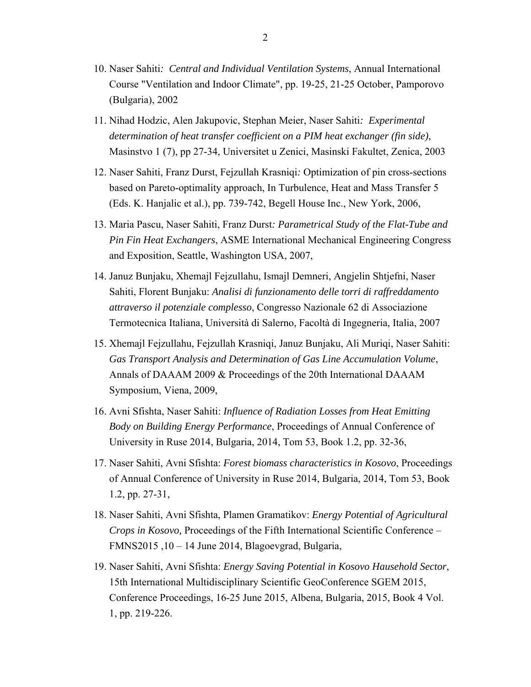- 10. Naser Sahiti*: Central and Individual Ventilation Systems*, Annual International Course "Ventilation and Indoor Climate", pp. 19-25, 21-25 October, Pamporovo (Bulgaria), 2002
- 11. Nihad Hodzic, Alen Jakupovic, Stephan Meier, Naser Sahiti*: Experimental determination of heat transfer coefficient on a PIM heat exchanger (fin side)*, Masinstvo 1 (7), pp 27-34, Universitet u Zenici, Masinski Fakultet, Zenica, 2003
- 12. Naser Sahiti, Franz Durst, Fejzullah Krasniqi*:* Optimization of pin cross-sections based on Pareto-optimality approach, In Turbulence, Heat and Mass Transfer 5 (Eds. K. Hanjalic et al.), pp. 739-742, Begell House Inc., New York, 2006,
- 13. Maria Pascu, Naser Sahiti, Franz Durst*: Parametrical Study of the Flat-Tube and Pin Fin Heat Exchangers*, ASME International Mechanical Engineering Congress and Exposition, Seattle, Washington USA, 2007,
- 14. Januz Bunjaku, Xhemajl Fejzullahu, Ismajl Demneri, Angjelin Shtjefni, Naser Sahiti, Florent Bunjaku: *Analisi di funzionamento delle torri di raffreddamento attraverso il potenziale complesso*, Congresso Nazionale 62 di Associazione Termotecnica Italiana, Università di Salerno, Facoltà di Ingegneria, Italia, 2007
- 15. Xhemajl Fejzullahu, Fejzullah Krasniqi, Januz Bunjaku, Ali Muriqi, Naser Sahiti: *Gas Transport Analysis and Determination of Gas Line Accumulation Volume*, Annals of DAAAM 2009 & Proceedings of the 20th International DAAAM Symposium, Viena, 2009,
- 16. Avni Sfishta, Naser Sahiti: *Influence of Radiation Losses from Heat Emitting Body on Building Energy Performance*, Proceedings of Annual Conference of University in Ruse 2014, Bulgaria, 2014, Tom 53, Book 1.2, pp. 32-36,
- 17. Naser Sahiti, Avni Sfishta: *Forest biomass characteristics in Kosovo*, Proceedings of Annual Conference of University in Ruse 2014, Bulgaria, 2014, Tom 53, Book 1.2, pp. 27-31,
- 18. Naser Sahiti, Avni Sfishta, Plamen Gramatikov: *Energy Potential of Agricultural Crops in Kosovo,* Proceedings of the Fifth International Scientific Conference – FMNS2015 ,10 – 14 June 2014, Blagoevgrad, Bulgaria,
- 19. Naser Sahiti, Avni Sfishta: *Energy Saving Potential in Kosovo Hausehold Sector*, 15th International Multidisciplinary Scientific GeoConference SGEM 2015, Conference Proceedings, 16-25 June 2015, Albena, Bulgaria, 2015, Book 4 Vol. 1, pp. 219-226.